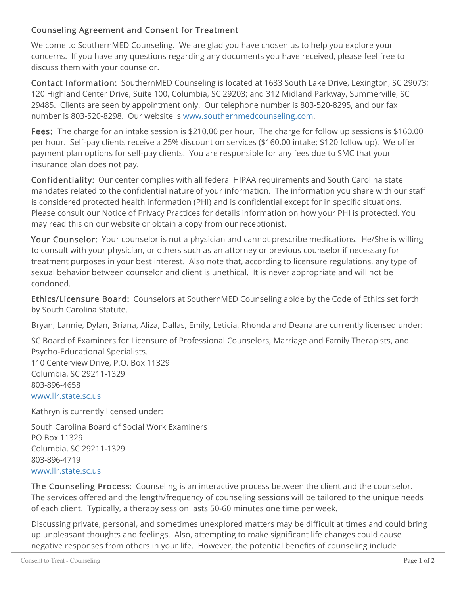## Counseling Agreement and Consent for Treatment

Welcome to SouthernMED Counseling. We are glad you have chosen us to help you explore your concerns. If you have any questions regarding any documents you have received, please feel free to discuss them with your counselor.

Contact Information: SouthernMED Counseling is located at 1633 South Lake Drive, Lexington, SC 29073; 120 Highland Center Drive, Suite 100, Columbia, SC 29203; and 312 Midland Parkway, Summerville, SC 29485. Clients are seen by appointment only. Our telephone number is 803-520-8295, and our fax number is 803-520-8298. Our website is www.southernmedcounseling.com.

Fees: The charge for an intake session is \$210.00 per hour. The charge for follow up sessions is \$160.00 per hour. Self-pay clients receive a 25% discount on services (\$160.00 intake; \$120 follow up). We offer payment plan options for self-pay clients. You are responsible for any fees due to SMC that your insurance plan does not pay.

Confidentiality: Our center complies with all federal HIPAA requirements and South Carolina state mandates related to the confidential nature of your information. The information you share with our staff is considered protected health information (PHI) and is confidential except for in specific situations. Please consult our Notice of Privacy Practices for details information on how your PHI is protected. You may read this on our website or obtain a copy from our receptionist.

Your Counselor: Your counselor is not a physician and cannot prescribe medications. He/She is willing to consult with your physician, or others such as an attorney or previous counselor if necessary for treatment purposes in your best interest. Also note that, according to licensure regulations, any type of sexual behavior between counselor and client is unethical. It is never appropriate and will not be condoned.

Ethics/Licensure Board: Counselors at SouthernMED Counseling abide by the Code of Ethics set forth by South Carolina Statute.

Bryan, Lannie, Dylan, Briana, Aliza, Dallas, Emily, Leticia, Rhonda and Deana are currently licensed under:

SC Board of Examiners for Licensure of Professional Counselors, Marriage and Family Therapists, and Psycho-Educational Specialists.

110 Centerview Drive, P.O. Box 11329 Columbia, SC 29211-1329 803-896-4658 www.llr.state.sc.us

Kathryn is currently licensed under:

South Carolina Board of Social Work Examiners PO Box 11329 Columbia, SC 29211-1329 803-896-4719 www.llr.state.sc.us

The Counseling Process: Counseling is an interactive process between the client and the counselor. The services offered and the length/frequency of counseling sessions will be tailored to the unique needs of each client. Typically, a therapy session lasts 50-60 minutes one time per week.

Discussing private, personal, and sometimes unexplored matters may be difficult at times and could bring up unpleasant thoughts and feelings. Also, attempting to make significant life changes could cause negative responses from others in your life. However, the potential benefits of counseling include